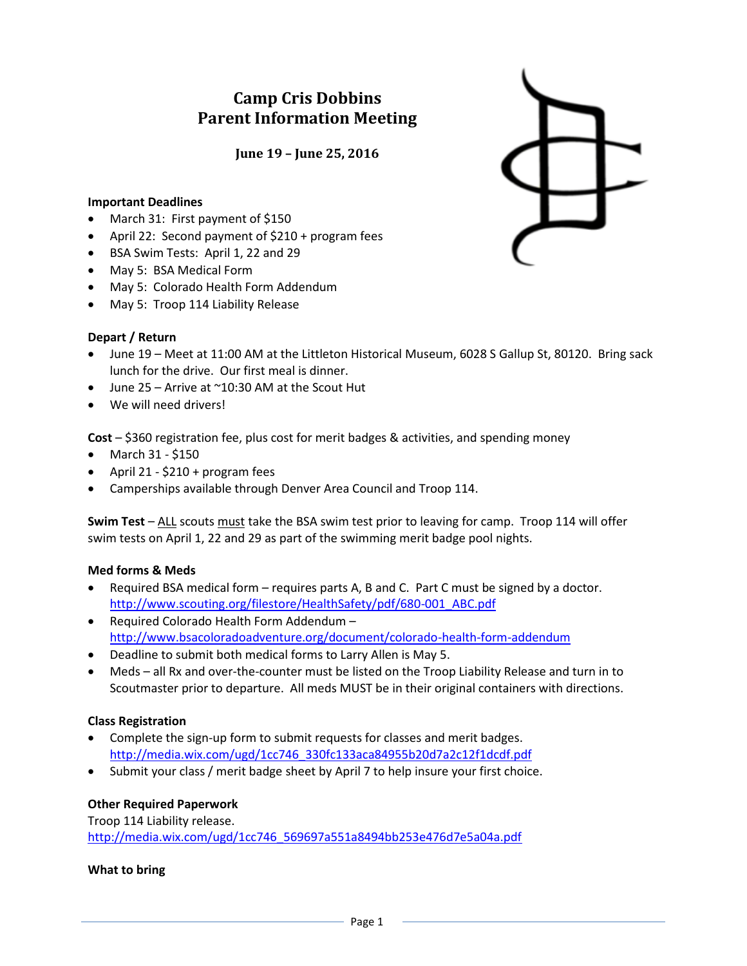# **Camp Cris Dobbins Parent Information Meeting**

**June 19 – June 25, 2016**

#### **Important Deadlines**

- March 31: First payment of \$150
- April 22: Second payment of \$210 + program fees
- BSA Swim Tests: April 1, 22 and 29
- May 5: BSA Medical Form
- May 5: Colorado Health Form Addendum
- May 5: Troop 114 Liability Release

#### **Depart / Return**

- June 19 Meet at 11:00 AM at the Littleton Historical Museum, 6028 S Gallup St, 80120. Bring sack lunch for the drive. Our first meal is dinner.
- $\bullet$  June 25 Arrive at  $^{\sim}10:30$  AM at the Scout Hut
- We will need drivers!

**Cost** – \$360 registration fee, plus cost for merit badges & activities, and spending money

- March 31 \$150
- April 21  $$210 + program fees$
- Camperships available through Denver Area Council and Troop 114.

**Swim Test** – ALL scouts must take the BSA swim test prior to leaving for camp. Troop 114 will offer swim tests on April 1, 22 and 29 as part of the swimming merit badge pool nights.

#### **Med forms & Meds**

- Required BSA medical form requires parts A, B and C. Part C must be signed by a doctor. [http://www.scouting.org/filestore/HealthSafety/pdf/680-001\\_ABC.pdf](http://www.scouting.org/filestore/HealthSafety/pdf/680-001_ABC.pdf)
- Required Colorado Health Form Addendum <http://www.bsacoloradoadventure.org/document/colorado-health-form-addendum>
- Deadline to submit both medical forms to Larry Allen is May 5.
- Meds all Rx and over-the-counter must be listed on the Troop Liability Release and turn in to Scoutmaster prior to departure. All meds MUST be in their original containers with directions.

#### **Class Registration**

- Complete the sign-up form to submit requests for classes and merit badges. [http://media.wix.com/ugd/1cc746\\_330fc133aca84955b20d7a2c12f1dcdf.pdf](http://media.wix.com/ugd/1cc746_330fc133aca84955b20d7a2c12f1dcdf.pdf)
- Submit your class / merit badge sheet by April 7 to help insure your first choice.

### **Other Required Paperwork**

Troop 114 Liability release. [http://media.wix.com/ugd/1cc746\\_569697a551a8494bb253e476d7e5a04a.pdf](http://media.wix.com/ugd/1cc746_569697a551a8494bb253e476d7e5a04a.pdf)

#### **What to bring**

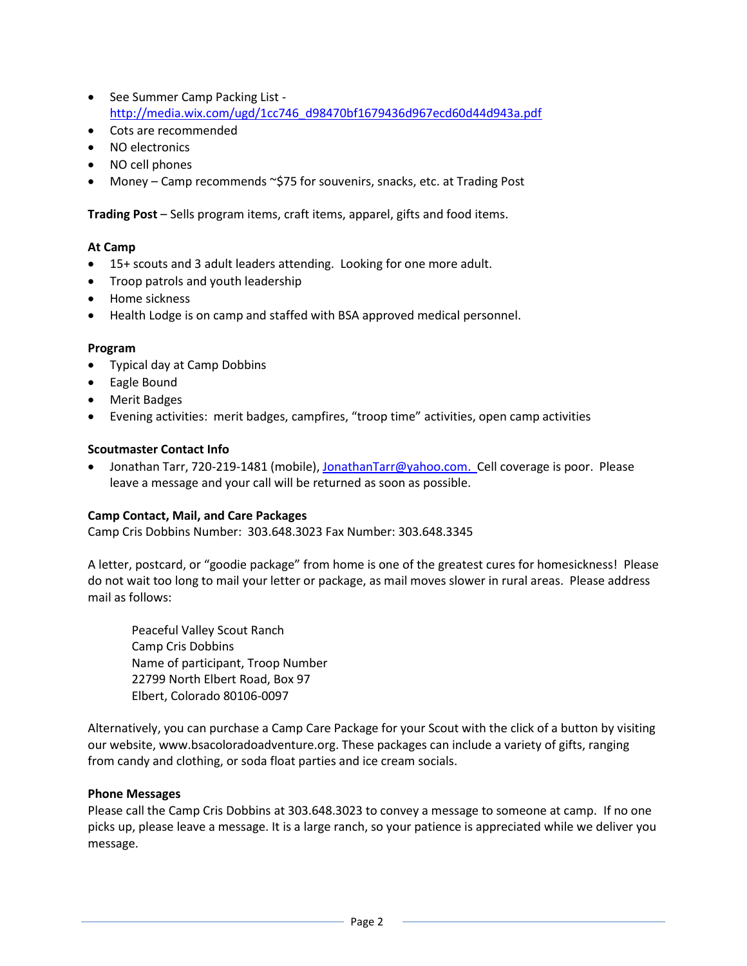- See Summer Camp Packing List [http://media.wix.com/ugd/1cc746\\_d98470bf1679436d967ecd60d44d943a.pdf](http://media.wix.com/ugd/1cc746_d98470bf1679436d967ecd60d44d943a.pdf)
- Cots are recommended
- NO electronics
- NO cell phones
- Money Camp recommends ~\$75 for souvenirs, snacks, etc. at Trading Post

**Trading Post** – Sells program items, craft items, apparel, gifts and food items.

### **At Camp**

- 15+ scouts and 3 adult leaders attending. Looking for one more adult.
- Troop patrols and youth leadership
- Home sickness
- Health Lodge is on camp and staffed with BSA approved medical personnel.

#### **Program**

- Typical day at Camp Dobbins
- Eagle Bound
- Merit Badges
- Evening activities: merit badges, campfires, "troop time" activities, open camp activities

### **Scoutmaster Contact Info**

Jonathan Tarr, 720-219-1481 (mobile)[, JonathanTarr@yahoo.com.](mailto:JonathanTarr@yahoo.com) Cell coverage is poor. Please leave a message and your call will be returned as soon as possible.

### **Camp Contact, Mail, and Care Packages**

Camp Cris Dobbins Number: 303.648.3023 Fax Number: 303.648.3345

A letter, postcard, or "goodie package" from home is one of the greatest cures for homesickness! Please do not wait too long to mail your letter or package, as mail moves slower in rural areas. Please address mail as follows:

Peaceful Valley Scout Ranch Camp Cris Dobbins Name of participant, Troop Number 22799 North Elbert Road, Box 97 Elbert, Colorado 80106-0097

Alternatively, you can purchase a Camp Care Package for your Scout with the click of a button by visiting our website, www.bsacoloradoadventure.org. These packages can include a variety of gifts, ranging from candy and clothing, or soda float parties and ice cream socials.

### **Phone Messages**

Please call the Camp Cris Dobbins at 303.648.3023 to convey a message to someone at camp. If no one picks up, please leave a message. It is a large ranch, so your patience is appreciated while we deliver you message.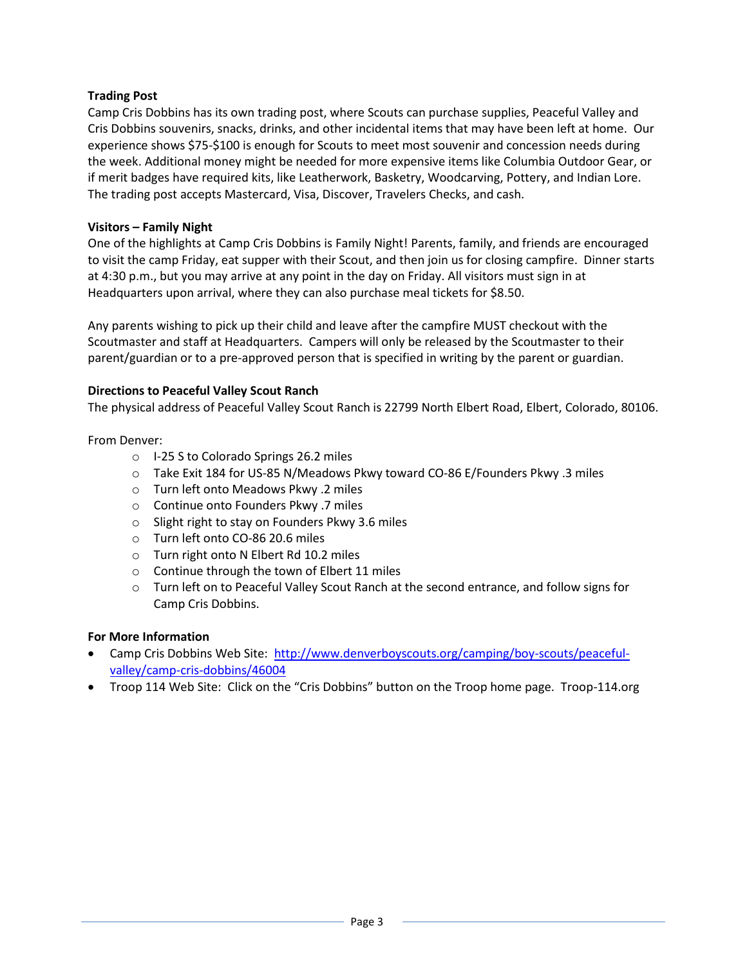## **Trading Post**

Camp Cris Dobbins has its own trading post, where Scouts can purchase supplies, Peaceful Valley and Cris Dobbins souvenirs, snacks, drinks, and other incidental items that may have been left at home. Our experience shows \$75-\$100 is enough for Scouts to meet most souvenir and concession needs during the week. Additional money might be needed for more expensive items like Columbia Outdoor Gear, or if merit badges have required kits, like Leatherwork, Basketry, Woodcarving, Pottery, and Indian Lore. The trading post accepts Mastercard, Visa, Discover, Travelers Checks, and cash.

### **Visitors – Family Night**

One of the highlights at Camp Cris Dobbins is Family Night! Parents, family, and friends are encouraged to visit the camp Friday, eat supper with their Scout, and then join us for closing campfire. Dinner starts at 4:30 p.m., but you may arrive at any point in the day on Friday. All visitors must sign in at Headquarters upon arrival, where they can also purchase meal tickets for \$8.50.

Any parents wishing to pick up their child and leave after the campfire MUST checkout with the Scoutmaster and staff at Headquarters. Campers will only be released by the Scoutmaster to their parent/guardian or to a pre-approved person that is specified in writing by the parent or guardian.

## **Directions to Peaceful Valley Scout Ranch**

The physical address of Peaceful Valley Scout Ranch is 22799 North Elbert Road, Elbert, Colorado, 80106.

### From Denver:

- o I-25 S to Colorado Springs 26.2 miles
- o Take Exit 184 for US-85 N/Meadows Pkwy toward CO-86 E/Founders Pkwy .3 miles
- o Turn left onto Meadows Pkwy .2 miles
- o Continue onto Founders Pkwy .7 miles
- o Slight right to stay on Founders Pkwy 3.6 miles
- o Turn left onto CO-86 20.6 miles
- o Turn right onto N Elbert Rd 10.2 miles
- o Continue through the town of Elbert 11 miles
- o Turn left on to Peaceful Valley Scout Ranch at the second entrance, and follow signs for Camp Cris Dobbins.

### **For More Information**

- Camp Cris Dobbins Web Site: [http://www.denverboyscouts.org/camping/boy-scouts/peaceful](http://www.denverboyscouts.org/camping/boy-scouts/peaceful-valley/camp-cris-dobbins/46004)[valley/camp-cris-dobbins/46004](http://www.denverboyscouts.org/camping/boy-scouts/peaceful-valley/camp-cris-dobbins/46004)
- Troop 114 Web Site: Click on the "Cris Dobbins" button on the Troop home page. Troop-114.org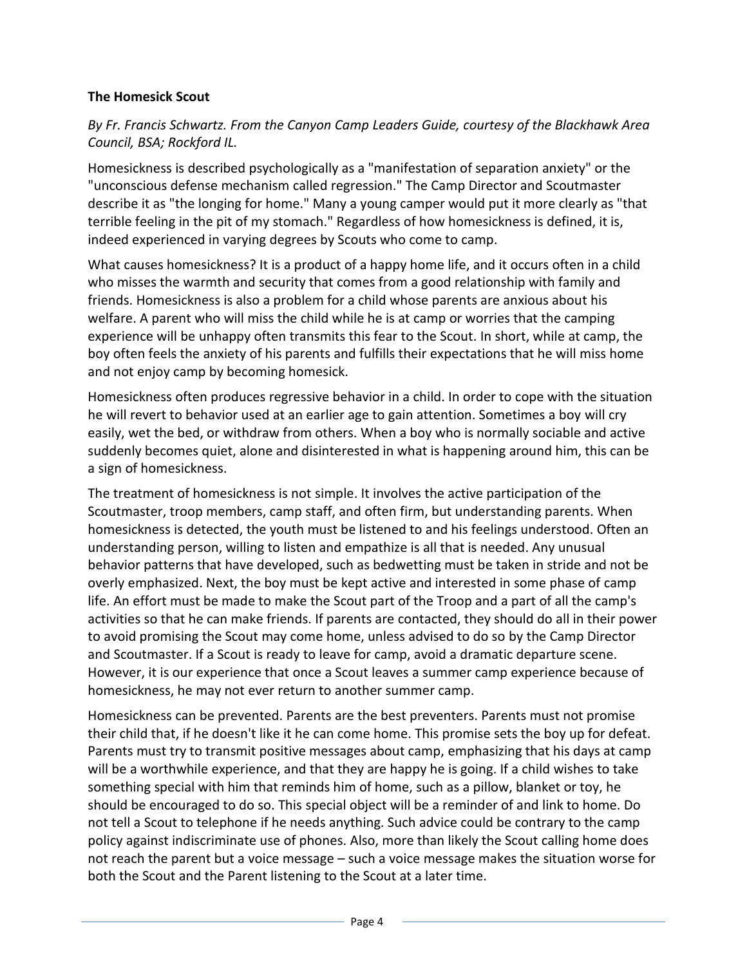# **The Homesick Scout**

# *By Fr. Francis Schwartz. From the Canyon Camp Leaders Guide, courtesy of the Blackhawk Area Council, BSA; Rockford IL.*

Homesickness is described psychologically as a "manifestation of separation anxiety" or the "unconscious defense mechanism called regression." The Camp Director and Scoutmaster describe it as "the longing for home." Many a young camper would put it more clearly as "that terrible feeling in the pit of my stomach." Regardless of how homesickness is defined, it is, indeed experienced in varying degrees by Scouts who come to camp.

What causes homesickness? It is a product of a happy home life, and it occurs often in a child who misses the warmth and security that comes from a good relationship with family and friends. Homesickness is also a problem for a child whose parents are anxious about his welfare. A parent who will miss the child while he is at camp or worries that the camping experience will be unhappy often transmits this fear to the Scout. In short, while at camp, the boy often feels the anxiety of his parents and fulfills their expectations that he will miss home and not enjoy camp by becoming homesick.

Homesickness often produces regressive behavior in a child. In order to cope with the situation he will revert to behavior used at an earlier age to gain attention. Sometimes a boy will cry easily, wet the bed, or withdraw from others. When a boy who is normally sociable and active suddenly becomes quiet, alone and disinterested in what is happening around him, this can be a sign of homesickness.

The treatment of homesickness is not simple. It involves the active participation of the Scoutmaster, troop members, camp staff, and often firm, but understanding parents. When homesickness is detected, the youth must be listened to and his feelings understood. Often an understanding person, willing to listen and empathize is all that is needed. Any unusual behavior patterns that have developed, such as bedwetting must be taken in stride and not be overly emphasized. Next, the boy must be kept active and interested in some phase of camp life. An effort must be made to make the Scout part of the Troop and a part of all the camp's activities so that he can make friends. If parents are contacted, they should do all in their power to avoid promising the Scout may come home, unless advised to do so by the Camp Director and Scoutmaster. If a Scout is ready to leave for camp, avoid a dramatic departure scene. However, it is our experience that once a Scout leaves a summer camp experience because of homesickness, he may not ever return to another summer camp.

Homesickness can be prevented. Parents are the best preventers. Parents must not promise their child that, if he doesn't like it he can come home. This promise sets the boy up for defeat. Parents must try to transmit positive messages about camp, emphasizing that his days at camp will be a worthwhile experience, and that they are happy he is going. If a child wishes to take something special with him that reminds him of home, such as a pillow, blanket or toy, he should be encouraged to do so. This special object will be a reminder of and link to home. Do not tell a Scout to telephone if he needs anything. Such advice could be contrary to the camp policy against indiscriminate use of phones. Also, more than likely the Scout calling home does not reach the parent but a voice message – such a voice message makes the situation worse for both the Scout and the Parent listening to the Scout at a later time.